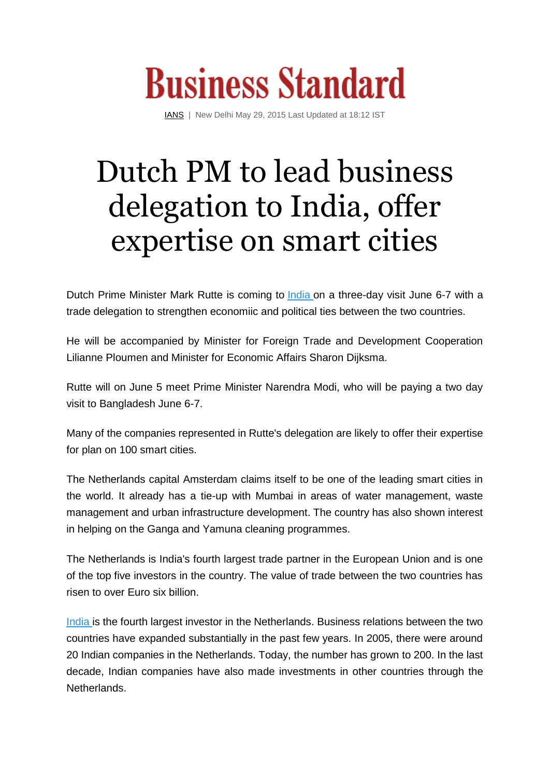

[IANS](http://www.business-standard.com/author/search/keyword/ians) | New Delhi May 29, 2015 Last Updated at 18:12 IST

## Dutch PM to lead business delegation to India, offer expertise on smart cities

Dutch Prime Minister Mark Rutte is coming to [India](http://www.business-standard.com/search?type=news&q=india) on a three-day visit June 6-7 with a trade delegation to strengthen economiic and political ties between the two countries.

He will be accompanied by Minister for Foreign Trade and Development Cooperation Lilianne Ploumen and Minister for Economic Affairs Sharon Dijksma.

Rutte will on June 5 meet Prime Minister Narendra Modi, who will be paying a two day visit to Bangladesh June 6-7.

Many of the companies represented in Rutte's delegation are likely to offer their expertise for plan on 100 smart cities.

The Netherlands capital Amsterdam claims itself to be one of the leading smart cities in the world. It already has a tie-up with Mumbai in areas of water management, waste management and urban infrastructure development. The country has also shown interest in helping on the Ganga and Yamuna cleaning programmes.

The Netherlands is India's fourth largest trade partner in the European Union and is one of the top five investors in the country. The value of trade between the two countries has risen to over Euro six billion.

[India](http://www.business-standard.com/search?type=news&q=india) is the fourth largest investor in the Netherlands. Business relations between the two countries have expanded substantially in the past few years. In 2005, there were around 20 Indian companies in the Netherlands. Today, the number has grown to 200. In the last decade, Indian companies have also made investments in other countries through the Netherlands.